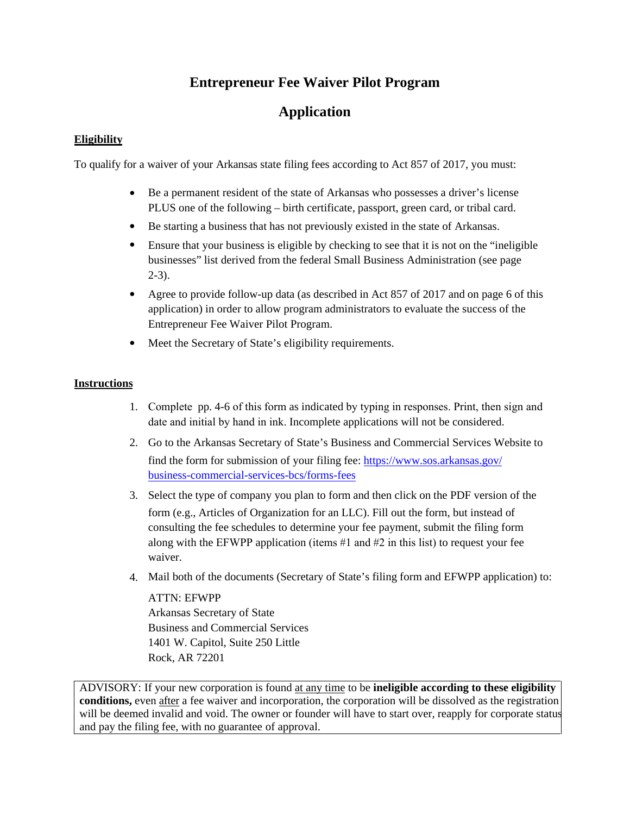## **Entrepreneur Fee Waiver Pilot Program**

# **Application**

## **Eligibility**

To qualify for a waiver of your Arkansas state filing fees according to Act 857 of 2017, you must:

- Be a permanent resident of the state of Arkansas who possesses a driver's license PLUS one of the following – birth certificate, passport, green card, or tribal card.
- Be starting a business that has not previously existed in the state of Arkansas.
- Ensure that your business is eligible by checking to see that it is not on the "ineligible" businesses" list derived from the federal Small Business Administration (see page 2-3).
- Agree to provide follow-up data (as described in Act 857 of 2017 and on page 6 of this application) in order to allow program administrators to evaluate the success of the Entrepreneur Fee Waiver Pilot Program.
- Meet the Secretary of State's eligibility requirements.

## **Instructions**

- 1. Complete pp. 4-6 of this form as indicated by typing in responses. Print, then sign and date and initial by hand in ink. Incomplete applications will not be considered.
- 2. Go to the Arkansas Secretary of State's Business and Commercial Services Website to find the form for submission of your filing fee: https://www.sos.arkansas.gov/ business-commercial-services-bcs/forms-fees
- 3. Select the type of company you plan to form and then click on the PDF version of the form (e.g., Articles of Organization for an LLC). Fill out the form, but instead of consulting the fee schedules to determine your fee payment, submit the filing form along with the EFWPP application (items #1 and #2 in this list) to request your fee waiver.
- 4. Mail both of the documents (Secretary of State's filing form and EFWPP application) to:

ATTN: EFWPP Arkansas Secretary of State Business and Commercial Services 1401 W. Capitol, Suite 250 Little Rock, AR 72201

ADVISORY: If your new corporation is found at any time to be **ineligible according to these eligibility conditions,** even after a fee waiver and incorporation, the corporation will be dissolved as the registration will be deemed invalid and void. The owner or founder will have to start over, reapply for corporate status and pay the filing fee, with no guarantee of approval.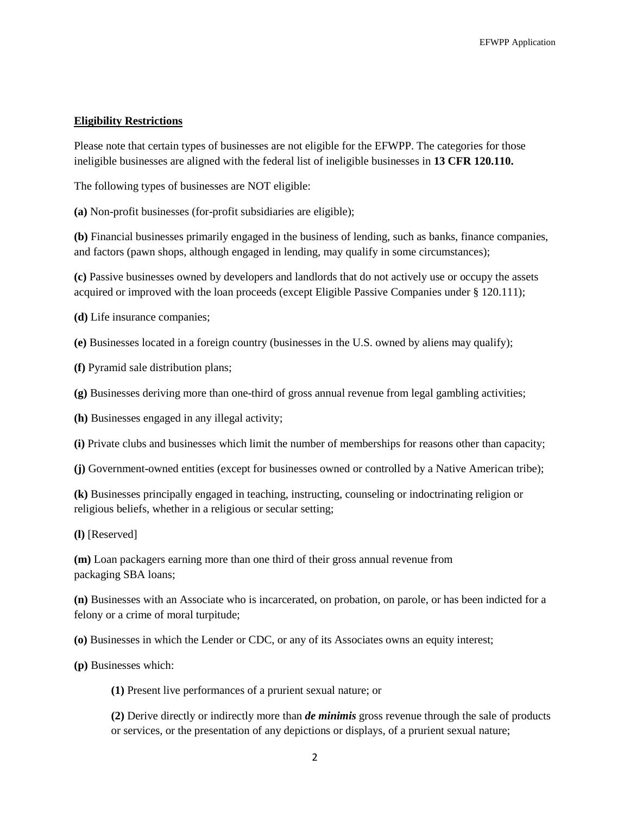#### **Eligibility Restrictions**

Please note that certain types of businesses are not eligible for the EFWPP. The categories for those ineligible businesses are aligned with the federal list of ineligible businesses in **13 CFR 120.110.**

The following types of businesses are NOT eligible:

**(a)** Non-profit businesses (for-profit subsidiaries are eligible);

**(b)** Financial businesses primarily engaged in the business of lending, such as banks, finance companies, and factors (pawn shops, although engaged in lending, may qualify in some circumstances);

**(c)** Passive businesses owned by developers and landlords that do not actively use or occupy the assets acquired or improved with the loan proceeds (except Eligible Passive Companies under § 120.111);

**(d)** Life insurance companies;

**(e)** Businesses located in a foreign country (businesses in the U.S. owned by aliens may qualify);

**(f)** Pyramid sale distribution plans;

**(g)** Businesses deriving more than one-third of gross annual revenue from legal gambling activities;

**(h)** Businesses engaged in any illegal activity;

**(i)** Private clubs and businesses which limit the number of memberships for reasons other than capacity;

**(j)** Government-owned entities (except for businesses owned or controlled by a Native American tribe);

**(k)** Businesses principally engaged in teaching, instructing, counseling or indoctrinating religion or religious beliefs, whether in a religious or secular setting;

**(l)** [Reserved]

**(m)** Loan packagers earning more than one third of their gross annual revenue from packaging SBA loans;

**(n)** Businesses with an Associate who is incarcerated, on probation, on parole, or has been indicted for a felony or a crime of moral turpitude;

**(o)** Businesses in which the Lender or CDC, or any of its Associates owns an equity interest;

**(p)** Businesses which:

**(1)** Present live performances of a prurient sexual nature; or

**(2)** Derive directly or indirectly more than *de minimis* gross revenue through the sale of products or services, or the presentation of any depictions or displays, of a prurient sexual nature;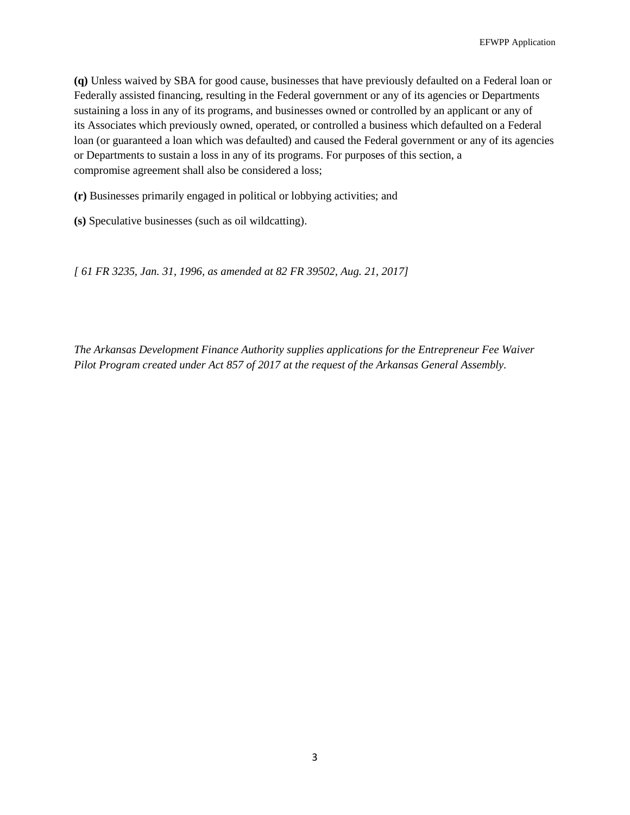**(q)** Unless waived by SBA for good cause, businesses that have previously defaulted on a Federal loan or Federally assisted financing, resulting in the Federal government or any of its agencies or Departments sustaining a loss in any of its programs, and businesses owned or controlled by an applicant or any of its Associates which previously owned, operated, or controlled a business which defaulted on a Federal loan (or guaranteed a loan which was defaulted) and caused the Federal government or any of its agencies or Departments to sustain a loss in any of its programs. For purposes of this section, a compromise agreement shall also be considered a loss;

**(r)** Businesses primarily engaged in political or lobbying activities; and

**(s)** Speculative businesses (such as oil wildcatting).

*[ 61 FR 3235, Jan. 31, 1996, as amended at 82 FR 39502, Aug. 21, 2017]* 

*The Arkansas Development Finance Authority supplies applications for the Entrepreneur Fee Waiver Pilot Program created under Act 857 of 2017 at the request of the Arkansas General Assembly.*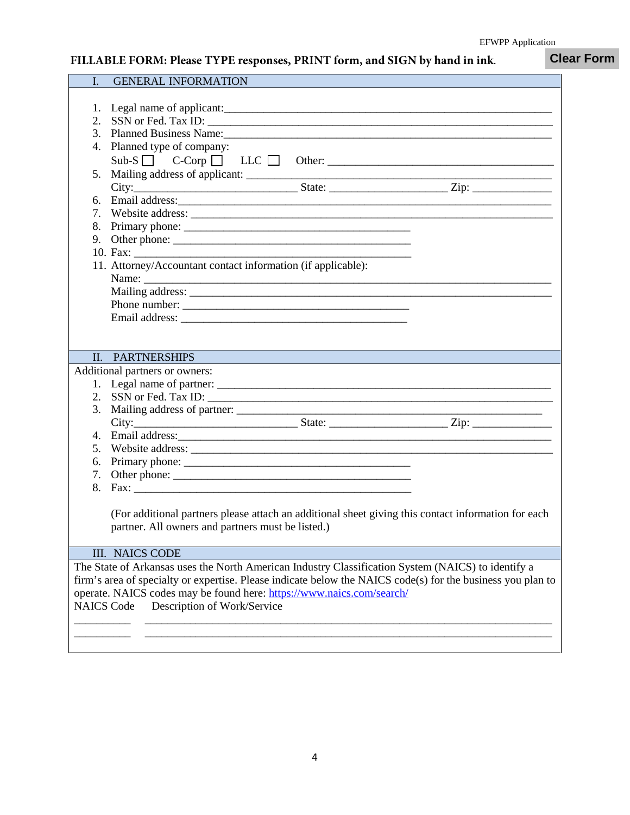# **FILLABLE FORM: Please TYPE responses, PRINT form, and SIGN by hand in ink**. **Clear Form**

| I. | <b>GENERAL INFORMATION</b>                                                                                  |
|----|-------------------------------------------------------------------------------------------------------------|
|    |                                                                                                             |
|    |                                                                                                             |
|    |                                                                                                             |
|    | 3. Planned Business Name:                                                                                   |
|    | 4. Planned type of company:                                                                                 |
|    | $Sub-S \Box$ C-Corp $\Box$ LLC $\Box$                                                                       |
|    |                                                                                                             |
|    |                                                                                                             |
| б. |                                                                                                             |
|    |                                                                                                             |
|    |                                                                                                             |
| 9. |                                                                                                             |
|    |                                                                                                             |
|    | 11. Attorney/Accountant contact information (if applicable):                                                |
|    |                                                                                                             |
|    |                                                                                                             |
|    |                                                                                                             |
|    |                                                                                                             |
|    |                                                                                                             |
|    |                                                                                                             |
|    | II. PARTNERSHIPS                                                                                            |
|    | Additional partners or owners:                                                                              |
|    | 1. Legal name of partner:                                                                                   |
|    | 2. SSN or Fed. Tax ID:                                                                                      |
|    |                                                                                                             |
|    |                                                                                                             |
|    | 4. Email address:                                                                                           |
|    |                                                                                                             |
|    |                                                                                                             |
| 7. |                                                                                                             |
|    |                                                                                                             |
|    |                                                                                                             |
|    | (For additional partners please attach an additional sheet giving this contact information for each         |
|    | partner. All owners and partners must be listed.)                                                           |
|    |                                                                                                             |
|    | <b>III. NAICS CODE</b>                                                                                      |
|    | The State of Arkansas uses the North American Industry Classification System (NAICS) to identify a          |
|    | firm's area of specialty or expertise. Please indicate below the NAICS code(s) for the business you plan to |
|    | operate. NAICS codes may be found here: https://www.naics.com/search/                                       |
|    | Description of Work/Service<br><b>NAICS Code</b>                                                            |
|    |                                                                                                             |
|    |                                                                                                             |
|    |                                                                                                             |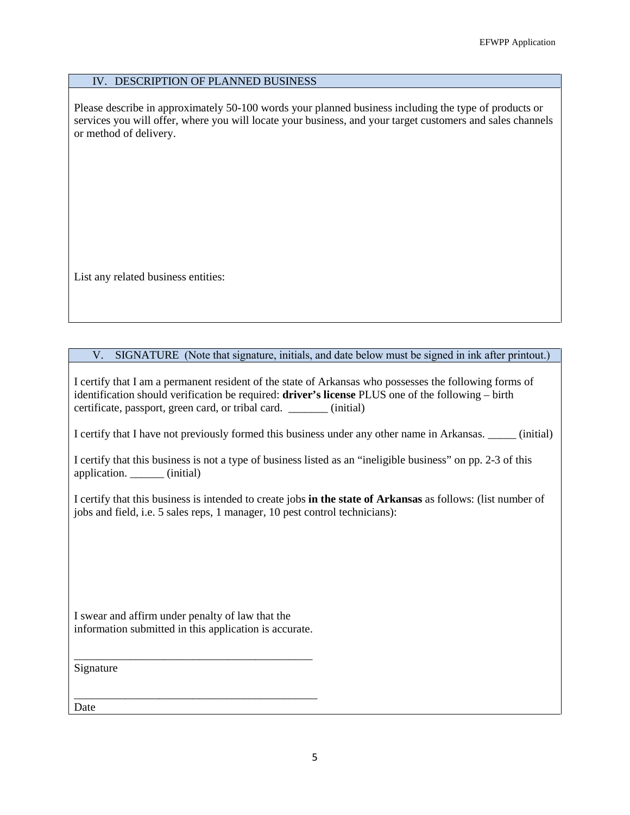### IV. DESCRIPTION OF PLANNED BUSINESS

Please describe in approximately 50-100 words your planned business including the type of products or services you will offer, where you will locate your business, and your target customers and sales channels or method of delivery.

List any related business entities:

V. SIGNATURE (Note that signature, initials, and date below must be signed in ink after printout.)

I certify that I am a permanent resident of the state of Arkansas who possesses the following forms of identification should verification be required: **driver's license** PLUS one of the following – birth certificate, passport, green card, or tribal card. \_\_\_\_\_\_\_ (initial)

I certify that I have not previously formed this business under any other name in Arkansas.  $\qquad$  (initial)

I certify that this business is not a type of business listed as an "ineligible business" on pp. 2-3 of this application. \_\_\_\_\_\_ (initial)

I certify that this business is intended to create jobs **in the state of Arkansas** as follows: (list number of jobs and field, i.e. 5 sales reps, 1 manager, 10 pest control technicians):

I swear and affirm under penalty of law that the information submitted in this application is accurate.

\_\_\_\_\_\_\_\_\_\_\_\_\_\_\_\_\_\_\_\_\_\_\_\_\_\_\_\_\_\_\_\_\_\_\_\_\_\_\_\_\_\_

Signature

\_\_\_\_\_\_\_\_\_\_\_\_\_\_\_\_\_\_\_\_\_\_\_\_\_\_\_\_\_\_\_\_\_\_\_\_\_\_\_\_\_\_\_ Date